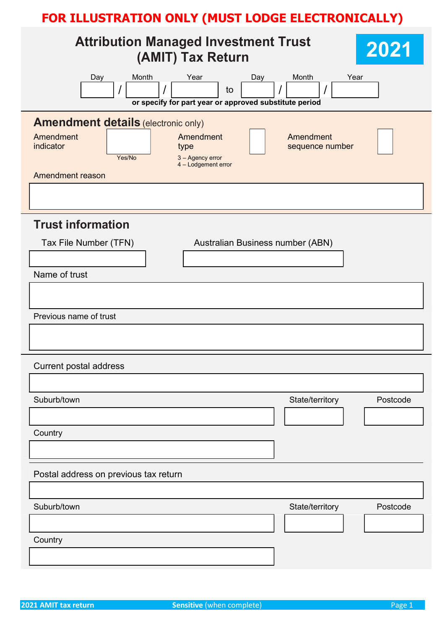| <b>Attribution Managed Investment Trust</b><br>(AMIT) Tax Return                                                                                                                                          | 2021     |
|-----------------------------------------------------------------------------------------------------------------------------------------------------------------------------------------------------------|----------|
| Month<br>Year<br>Month<br>Day<br>Day<br>to<br>or specify for part year or approved substitute period                                                                                                      | Year     |
| <b>Amendment details (electronic only)</b><br>Amendment<br>Amendment<br>Amendment<br>indicator<br>sequence number<br>type<br>Yes/No<br>3 - Agency error<br>4 - Lodgement error<br><b>Amendment reason</b> |          |
|                                                                                                                                                                                                           |          |
| <b>Trust information</b><br>Tax File Number (TFN)<br>Australian Business number (ABN)<br>Name of trust                                                                                                    |          |
|                                                                                                                                                                                                           |          |
| Previous name of trust                                                                                                                                                                                    |          |
| <b>Current postal address</b>                                                                                                                                                                             |          |
| Suburb/town<br>State/territory                                                                                                                                                                            | Postcode |
| Country                                                                                                                                                                                                   |          |
| Postal address on previous tax return                                                                                                                                                                     |          |
| Suburb/town<br>State/territory                                                                                                                                                                            | Postcode |
|                                                                                                                                                                                                           |          |
| Country                                                                                                                                                                                                   |          |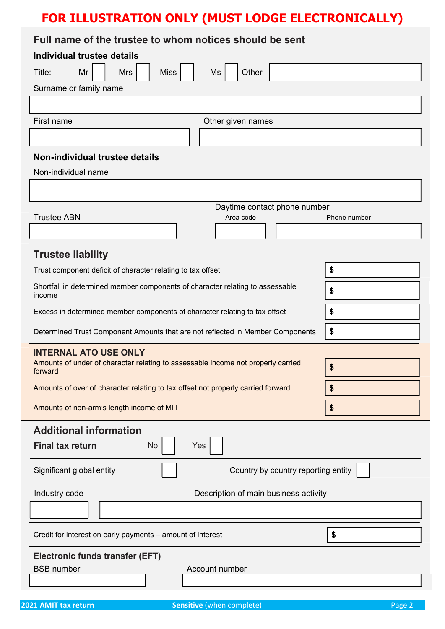### Full name of the trustee to whom notices should be sent

| Individual trustee details                                                                  |              |
|---------------------------------------------------------------------------------------------|--------------|
| Mrs<br><b>Miss</b><br>Other<br>Title:<br>Mr<br>Ms                                           |              |
| Surname or family name                                                                      |              |
|                                                                                             |              |
| First name<br>Other given names                                                             |              |
|                                                                                             |              |
| Non-individual trustee details                                                              |              |
| Non-individual name                                                                         |              |
|                                                                                             |              |
| Daytime contact phone number                                                                |              |
| <b>Trustee ABN</b><br>Area code                                                             | Phone number |
|                                                                                             |              |
| <b>Trustee liability</b>                                                                    |              |
| Trust component deficit of character relating to tax offset                                 | \$           |
| Shortfall in determined member components of character relating to assessable<br>income     | \$           |
| Excess in determined member components of character relating to tax offset                  | \$           |
| Determined Trust Component Amounts that are not reflected in Member Components              | \$           |
| <b>INTERNAL ATO USE ONLY</b>                                                                |              |
| Amounts of under of character relating to assessable income not properly carried<br>forward | \$           |
| Amounts of over of character relating to tax offset not properly carried forward            | Φ            |
| Amounts of non-arm's length income of MIT                                                   | \$           |
| <b>Additional information</b>                                                               |              |
| <b>Final tax return</b><br>Yes<br>No                                                        |              |
| Country by country reporting entity<br>Significant global entity                            |              |
| Industry code<br>Description of main business activity                                      |              |
|                                                                                             |              |
| Credit for interest on early payments - amount of interest                                  | \$           |
| <b>Electronic funds transfer (EFT)</b><br><b>BSB</b> number<br>Account number               |              |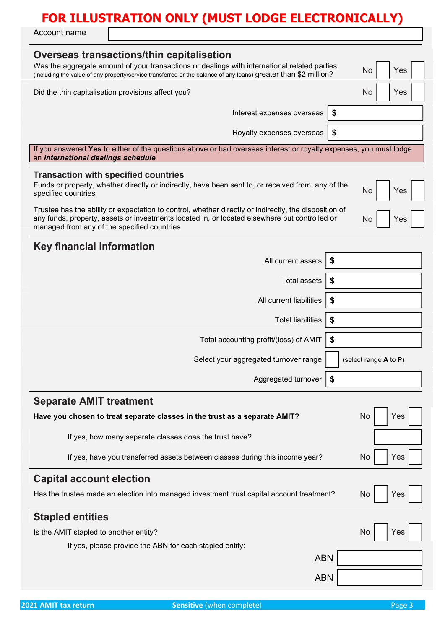Account name

| Overseas transactions/thin capitalisation<br>Was the aggregate amount of your transactions or dealings with international related parties<br>No<br>Yes<br>(including the value of any property/service transferred or the balance of any loans) greater than \$2 million? |
|---------------------------------------------------------------------------------------------------------------------------------------------------------------------------------------------------------------------------------------------------------------------------|
| Did the thin capitalisation provisions affect you?<br>No<br>Yes                                                                                                                                                                                                           |
| \$<br>Interest expenses overseas                                                                                                                                                                                                                                          |
| \$<br>Royalty expenses overseas                                                                                                                                                                                                                                           |
| If you answered Yes to either of the questions above or had overseas interest or royalty expenses, you must lodge<br>an International dealings schedule                                                                                                                   |
| <b>Transaction with specified countries</b><br>Funds or property, whether directly or indirectly, have been sent to, or received from, any of the<br><b>No</b><br>Yes<br>specified countries                                                                              |
| Trustee has the ability or expectation to control, whether directly or indirectly, the disposition of<br>any funds, property, assets or investments located in, or located elsewhere but controlled or<br><b>No</b><br>Yes<br>managed from any of the specified countries |
| <b>Key financial information</b>                                                                                                                                                                                                                                          |
| All current assets                                                                                                                                                                                                                                                        |
| Total assets<br>S.                                                                                                                                                                                                                                                        |
| All current liabilities<br>\$                                                                                                                                                                                                                                             |
| \$<br><b>Total liabilities</b>                                                                                                                                                                                                                                            |
| \$<br>Total accounting profit/(loss) of AMIT                                                                                                                                                                                                                              |
| Select your aggregated turnover range<br>(select range $A$ to $P$ )                                                                                                                                                                                                       |
| Aggregated turnover<br>\$                                                                                                                                                                                                                                                 |
| <b>Separate AMIT treatment</b>                                                                                                                                                                                                                                            |
| Have you chosen to treat separate classes in the trust as a separate AMIT?<br><b>No</b><br>Yes                                                                                                                                                                            |
| If yes, how many separate classes does the trust have?                                                                                                                                                                                                                    |
| If yes, have you transferred assets between classes during this income year?<br>No<br>Yes                                                                                                                                                                                 |
| <b>Capital account election</b>                                                                                                                                                                                                                                           |
| Has the trustee made an election into managed investment trust capital account treatment?<br><b>No</b><br>Yes                                                                                                                                                             |
| <b>Stapled entities</b>                                                                                                                                                                                                                                                   |
| Is the AMIT stapled to another entity?<br><b>No</b><br>Yes                                                                                                                                                                                                                |
| If yes, please provide the ABN for each stapled entity:                                                                                                                                                                                                                   |
| <b>ABN</b>                                                                                                                                                                                                                                                                |
| <b>ABN</b>                                                                                                                                                                                                                                                                |
|                                                                                                                                                                                                                                                                           |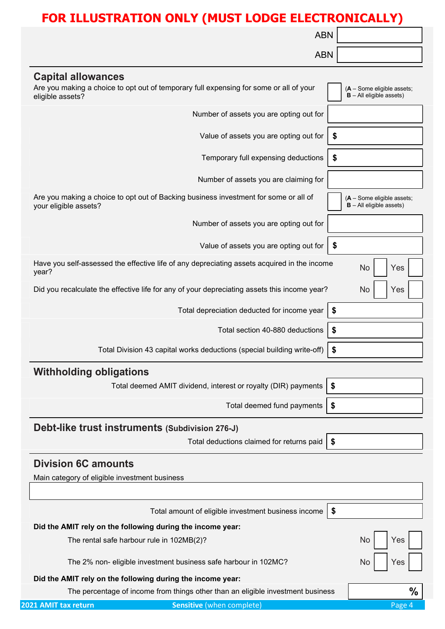|                                               | <b>ABN</b>                                                                                   |                                                            |
|-----------------------------------------------|----------------------------------------------------------------------------------------------|------------------------------------------------------------|
|                                               | <b>ABN</b>                                                                                   |                                                            |
| <b>Capital allowances</b>                     |                                                                                              |                                                            |
| eligible assets?                              | Are you making a choice to opt out of temporary full expensing for some or all of your       | $(A - Some eligible assets;$<br>$B - All$ eligible assets) |
|                                               | Number of assets you are opting out for                                                      |                                                            |
|                                               | Value of assets you are opting out for                                                       |                                                            |
|                                               | Temporary full expensing deductions<br>\$                                                    |                                                            |
|                                               | Number of assets you are claiming for                                                        |                                                            |
| your eligible assets?                         | Are you making a choice to opt out of Backing business investment for some or all of         | $(A - Some eligible assets;$<br>$B - All$ eligible assets) |
|                                               | Number of assets you are opting out for                                                      |                                                            |
|                                               | Value of assets you are opting out for<br>$\boldsymbol{\hat{\ast}}$                          |                                                            |
| year?                                         | Have you self-assessed the effective life of any depreciating assets acquired in the income  | No<br>Yes                                                  |
|                                               | Did you recalculate the effective life for any of your depreciating assets this income year? | <b>No</b><br>Yes                                           |
|                                               | Total depreciation deducted for income year<br>$\boldsymbol{\hat{z}}$                        |                                                            |
|                                               | Total section 40-880 deductions<br>\$                                                        |                                                            |
|                                               | Total Division 43 capital works deductions (special building write-off)<br>\$                |                                                            |
| <b>Withholding obligations</b>                |                                                                                              |                                                            |
|                                               | Total deemed AMIT dividend, interest or royalty (DIR) payments<br>\$                         |                                                            |
|                                               | Total deemed fund payments<br>\$                                                             |                                                            |
|                                               | Debt-like trust instruments (Subdivision 276-J)                                              |                                                            |
|                                               | Total deductions claimed for returns paid<br>\$                                              |                                                            |
| <b>Division 6C amounts</b>                    |                                                                                              |                                                            |
| Main category of eligible investment business |                                                                                              |                                                            |
|                                               |                                                                                              |                                                            |
|                                               | Total amount of eligible investment business income<br>\$                                    |                                                            |
|                                               | Did the AMIT rely on the following during the income year:                                   |                                                            |
|                                               | The rental safe harbour rule in 102MB(2)?                                                    | Yes<br>No                                                  |
|                                               | The 2% non- eligible investment business safe harbour in 102MC?                              | Yes<br>N0                                                  |
|                                               | Did the AMIT rely on the following during the income year:                                   |                                                            |
|                                               | The percentage of income from things other than an eligible investment business              | $\frac{0}{0}$                                              |
| 2021 AMIT tax return                          | <b>Sensitive</b> (when complete)                                                             | Page 4                                                     |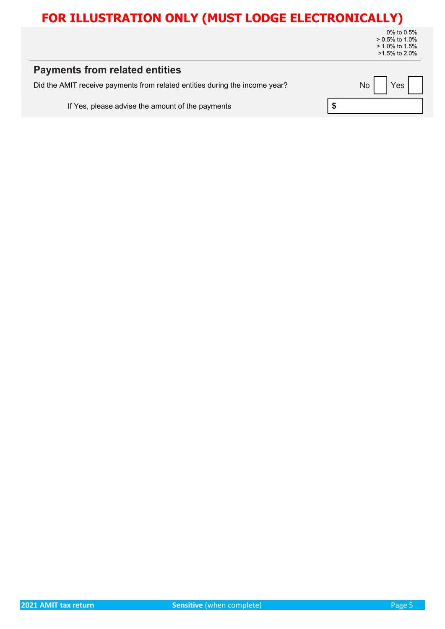0% to 0.5% > 0.5% to 1.0% > 1.0% to 1.5% >1.5% to 2.0%

| <b>Payments from related entities</b>                                       |                          |
|-----------------------------------------------------------------------------|--------------------------|
| Did the AMIT receive payments from related entities during the income year? | No  <br>Yes <sub>1</sub> |
| If Yes, please advise the amount of the payments                            |                          |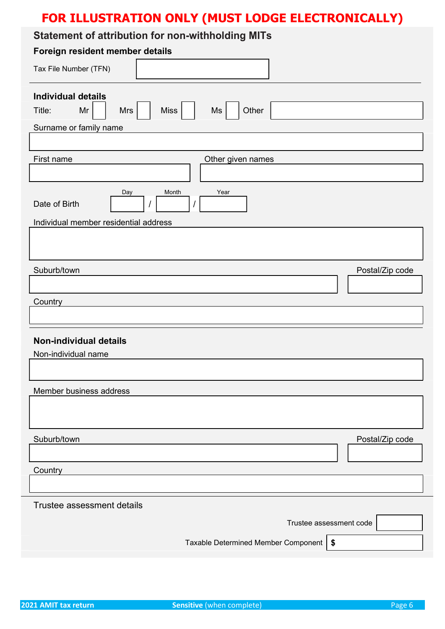### Statement of attribution for non-withholding MITs

| <u>adonioni oi allipalion ioi non milinoianig mito</u><br>Foreign resident member details                             |
|-----------------------------------------------------------------------------------------------------------------------|
|                                                                                                                       |
| Tax File Number (TFN)                                                                                                 |
| <b>Individual details</b><br>Miss <sup>1</sup><br>Other<br>Mr<br>Ms<br>Title:<br><b>Mrs</b><br>Surname or family name |
|                                                                                                                       |
| First name<br>Other given names                                                                                       |
| Day<br>Month<br>Year<br>Date of Birth<br>Individual member residential address                                        |
|                                                                                                                       |
| Suburb/town<br>Postal/Zip code                                                                                        |
| Country                                                                                                               |
|                                                                                                                       |
| <b>Non-individual details</b><br>Non-individual name                                                                  |
|                                                                                                                       |
| Member business address                                                                                               |
|                                                                                                                       |
| Suburb/town<br>Postal/Zip code                                                                                        |
| Country                                                                                                               |
| Trustee assessment details<br>Trustee assessment code                                                                 |
| Taxable Determined Member Component   \$                                                                              |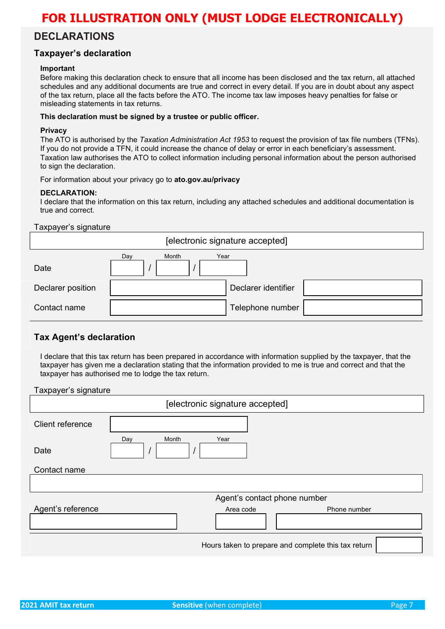### DECLARATIONS

### Taxpayer's declaration

#### Important

Before making this declaration check to ensure that all income has been disclosed and the tax return, all attached schedules and any additional documents are true and correct in every detail. If you are in doubt about any aspect of the tax return, place all the facts before the ATO. The income tax law imposes heavy penalties for false or misleading statements in tax returns.

#### This declaration must be signed by a trustee or public officer.

#### **Privacy**

The ATO is authorised by the Taxation Administration Act 1953 to request the provision of tax file numbers (TFNs). If you do not provide a TFN, it could increase the chance of delay or error in each beneficiary's assessment. Taxation law authorises the ATO to collect information including personal information about the person authorised to sign the declaration.

For information about your privacy go to ato.gov.au/privacy

#### DECLARATION:

I declare that the information on this tax return, including any attached schedules and additional documentation is true and correct.

#### Taxpayer's signature

| [electronic signature accepted] |              |                     |
|---------------------------------|--------------|---------------------|
| Date                            | Month<br>Day | Year                |
| Declarer position               |              | Declarer identifier |
| Contact name                    |              | Telephone number    |

### Tax Agent's declaration

I declare that this tax return has been prepared in accordance with information supplied by the taxpayer, that the taxpayer has given me a declaration stating that the information provided to me is true and correct and that the taxpayer has authorised me to lodge the tax return.

#### Taxpayer's signature

| [electronic signature accepted] |                                                     |  |
|---------------------------------|-----------------------------------------------------|--|
| Client reference                |                                                     |  |
| Date                            | Month<br>Day<br>Year                                |  |
| Contact name                    |                                                     |  |
|                                 |                                                     |  |
|                                 | Agent's contact phone number                        |  |
| Agent's reference               | Area code<br>Phone number                           |  |
|                                 | Hours taken to prepare and complete this tax return |  |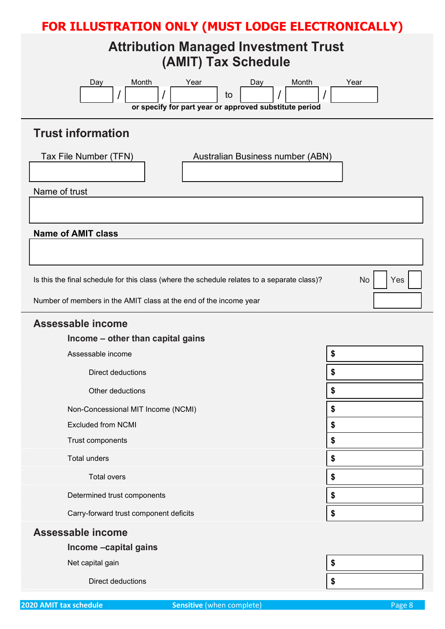## Attribution Managed Investment Trust (AMIT) Tax Schedule

| Month<br>Year<br>Month<br>Day<br>Day<br>to<br>or specify for part year or approved substitute period | Year      |  |
|------------------------------------------------------------------------------------------------------|-----------|--|
| <b>Trust information</b>                                                                             |           |  |
| Tax File Number (TFN)<br>Australian Business number (ABN)                                            |           |  |
| Name of trust                                                                                        |           |  |
|                                                                                                      |           |  |
| <b>Name of AMIT class</b>                                                                            |           |  |
|                                                                                                      |           |  |
| Is this the final schedule for this class (where the schedule relates to a separate class)?          | No<br>Yes |  |
| Number of members in the AMIT class at the end of the income year                                    |           |  |
| Assessable income                                                                                    |           |  |
| Income - other than capital gains                                                                    |           |  |
| Assessable income                                                                                    | \$        |  |
| Direct deductions                                                                                    | \$        |  |
| Other deductions                                                                                     | \$        |  |
| Non-Concessional MIT Income (NCMI)                                                                   | \$        |  |
| <b>Excluded from NCMI</b>                                                                            | \$        |  |
| Trust components                                                                                     | \$        |  |
| <b>Total unders</b>                                                                                  | \$        |  |
| Total overs                                                                                          | \$        |  |
| Determined trust components                                                                          | \$        |  |
| \$<br>Carry-forward trust component deficits                                                         |           |  |
| Assessable income                                                                                    |           |  |
| Income -capital gains                                                                                |           |  |
| Net capital gain                                                                                     | \$        |  |
| Direct deductions                                                                                    | \$        |  |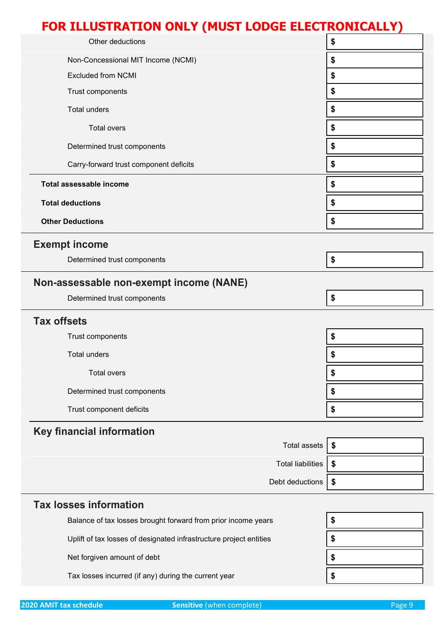| FOR ILLUSTRATION ONLY (MUST LODGE ELECTRONICALLY) |                          |    |
|---------------------------------------------------|--------------------------|----|
| Other deductions                                  |                          | \$ |
| Non-Concessional MIT Income (NCMI)                |                          | \$ |
| <b>Excluded from NCMI</b>                         |                          | \$ |
| Trust components                                  |                          | \$ |
| <b>Total unders</b>                               |                          | \$ |
| <b>Total overs</b>                                |                          | \$ |
| Determined trust components                       |                          | \$ |
| Carry-forward trust component deficits            |                          | \$ |
| Total assessable income                           |                          | \$ |
| <b>Total deductions</b>                           |                          | \$ |
| <b>Other Deductions</b>                           |                          | \$ |
| <b>Exempt income</b>                              |                          |    |
| Determined trust components                       |                          | \$ |
| Non-assessable non-exempt income (NANE)           |                          |    |
| Determined trust components                       |                          | \$ |
| <b>Tax offsets</b>                                |                          |    |
| Trust components                                  |                          | \$ |
| <b>Total unders</b>                               |                          | P  |
| <b>Total overs</b>                                |                          | \$ |
| Determined trust components                       |                          | \$ |
| Trust component deficits                          |                          | \$ |
| <b>Key financial information</b>                  |                          |    |
|                                                   | Total assets             | \$ |
|                                                   | <b>Total liabilities</b> | \$ |
|                                                   | Debt deductions          | \$ |
| <b>Tax losses information</b>                     |                          |    |

| Balance of tax losses brought forward from prior income years      |  |
|--------------------------------------------------------------------|--|
| Uplift of tax losses of designated infrastructure project entities |  |
| Net forgiven amount of debt                                        |  |
| Tax losses incurred (if any) during the current year               |  |